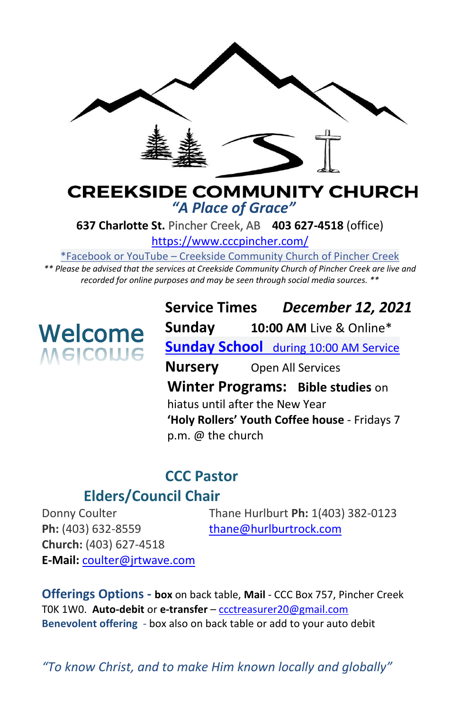

# **CREEKSIDE COMMUNITY CHURCH** *"A Place of Grace"*

**637 Charlotte St.** Pincher Creek, AB **403 627-4518** (office)

<https://www.cccpincher.com/>

\*Facebook or YouTube – Creekside Community Church of Pincher Creek

*\*\* Please be advised that the services at Creekside Community Church of Pincher Creek are live and recorded for online purposes and may be seen through social media sources. \*\**

# Welcome **Welcome**

**Service Times** *December 12, 2021* **Sunday 10:00 AM** Live & Online\* **Sunday School** during 10:00 AM Service **Nursery** Open All Services **Winter Programs: Bible studies** on hiatus until after the New Year **'Holy Rollers' Youth Coffee house** - Fridays 7 p.m. @ the church

# **CCC Pastor**

# **Elders/Council Chair**

Ph: (403) 632-8559 [thane@hurlburtrock.com](mailto:thane@hurlburtrock.com) **Church:** (403) 627-4518 **E-Mail:** [coulter@jrtwave.com](mailto:coulter@jrtwave.com)

Donny Coulter Thane Hurlburt **Ph:** 1(403) 382-0123

**Offerings Options - box** on back table, **Mail** - CCC Box 757, Pincher Creek T0K 1W0. **Auto-debit** or **e-transfer** – [ccctreasurer20@gmail.com](mailto:ccctreasurer20@gmail.com) **Benevolent offering** - box also on back table or add to your auto debit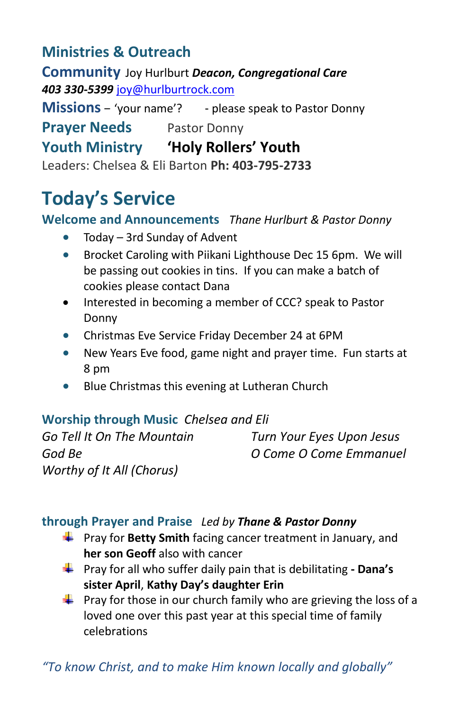# **Ministries & Outreach**

**Community** Joy Hurlburt *Deacon, Congregational Care 403 330-5399* [joy@hurlburtrock.com](mailto:joy@hurlburtrock.com)

**Missions** – 'your name'? - please speak to Pastor Donny **Prayer Needs** Pastor Donny

# **Youth Ministry 'Holy Rollers' Youth**

Leaders: Chelsea & Eli Barton **Ph: 403-795-2733**

# **Today's Service**

## **Welcome and Announcements** *Thane Hurlburt & Pastor Donny*

- Today 3rd Sunday of Advent
- Brocket Caroling with Piikani Lighthouse Dec 15 6pm. We will be passing out cookies in tins. If you can make a batch of cookies please contact Dana
- Interested in becoming a member of CCC? speak to Pastor Donny
- Christmas Eve Service Friday December 24 at 6PM
- New Years Eve food, game night and prayer time. Fun starts at 8 pm
- Blue Christmas this evening at Lutheran Church

## **Worship through Music** *Chelsea and Eli*

*Worthy of It All (Chorus)*

*Go Tell It On The Mountain Turn Your Eyes Upon Jesus God Be O Come O Come Emmanuel* 

### **through Prayer and Praise** *Led by Thane & Pastor Donny*

- **Faxt** Pray for Betty Smith facing cancer treatment in January, and **her son Geoff** also with cancer
- Pray for all who suffer daily pain that is debilitating **- Dana's sister April**, **Kathy Day's daughter Erin**
- **Pray for those in our church family who are grieving the loss of a** loved one over this past year at this special time of family celebrations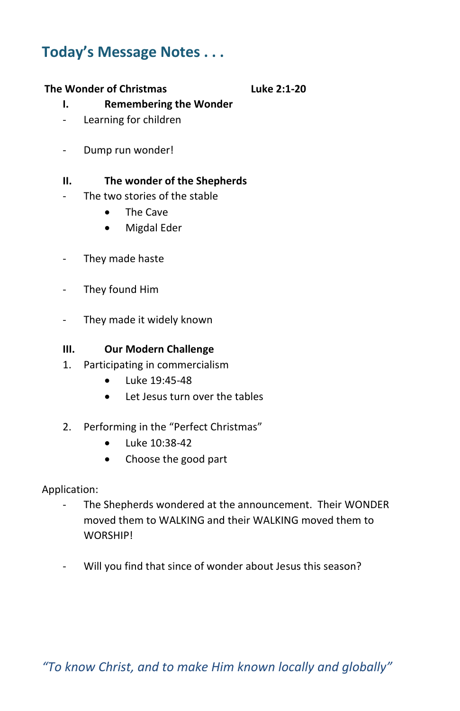# **Today's Message Notes . . .**

#### **The Wonder of Christmas Luke 2:1-20**

#### **I. Remembering the Wonder**

- Learning for children
- Dump run wonder!

#### **II. The wonder of the Shepherds**

- The two stories of the stable
	- The Cave
	- Migdal Eder
- They made haste
- They found Him
- They made it widely known

#### **III. Our Modern Challenge**

- 1. Participating in commercialism
	- Luke 19:45-48
	- Let Jesus turn over the tables
- 2. Performing in the "Perfect Christmas"
	- Luke 10:38-42
	- Choose the good part

Application:

- The Shepherds wondered at the announcement. Their WONDER moved them to WALKING and their WALKING moved them to WORSHIP!
- Will you find that since of wonder about Jesus this season?